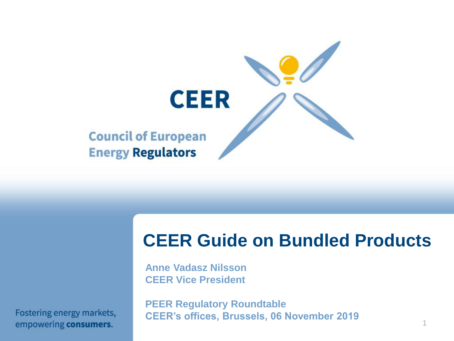

# **CEER Guide on Bundled Products**

**Anne Vadasz Nilsson CEER Vice President**

Fostering energy markets, empowering consumers.

**PEER Regulatory Roundtable CEER's offices, Brussels, 06 November 2019**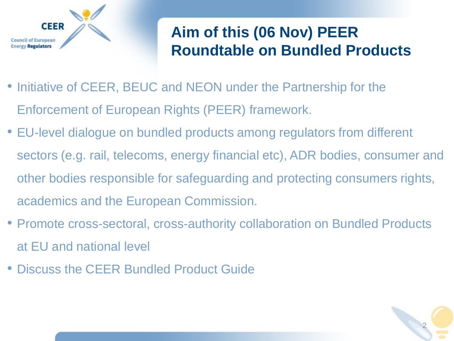

# **Aim of this (06 Nov) PEER Roundtable on Bundled Products**

- Initiative of CEER, BEUC and NEON under the Partnership for the Enforcement of European Rights (PEER) framework.
- EU-level dialogue on bundled products among regulators from different sectors (e.g. rail, telecoms, energy financial etc), ADR bodies, consumer and other bodies responsible for safeguarding and protecting consumers rights, academics and the European Commission.
- Promote cross-sectoral, cross-authority collaboration on Bundled Products at EU and national level
- Discuss the CEER Bundled Product Guide

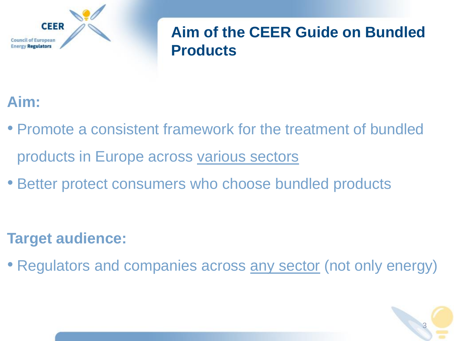

### **Aim of the CEER Guide on Bundled Products**

## **Aim:**

- Promote a consistent framework for the treatment of bundled products in Europe across various sectors
- Better protect consumers who choose bundled products

### **Target audience:**

• Regulators and companies across any sector (not only energy)

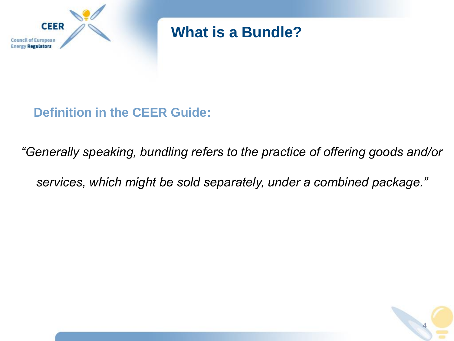

**What is a Bundle?** 

**Definition in the CEER Guide:** 

*"Generally speaking, bundling refers to the practice of offering goods and/or* 

*services, which might be sold separately, under a combined package."*

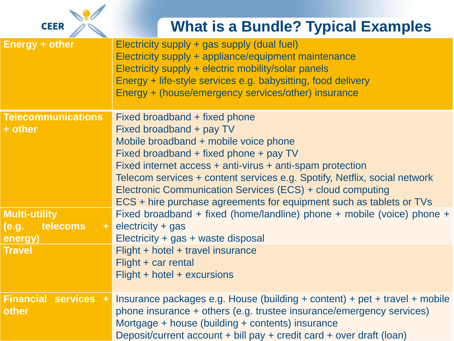

## **What is a Bundle? Typical Examples**

| <b>Energy + other</b>                                         | Electricity supply + gas supply (dual fuel)<br>Electricity supply + appliance/equipment maintenance<br>Electricity supply + electric mobility/solar panels<br>Energy + life-style services e.g. babysitting, food delivery<br>Energy + (house/emergency services/other) insurance                                                                                                                                          |
|---------------------------------------------------------------|----------------------------------------------------------------------------------------------------------------------------------------------------------------------------------------------------------------------------------------------------------------------------------------------------------------------------------------------------------------------------------------------------------------------------|
| <b>Telecommunications</b><br>+ other                          | Fixed broadband + fixed phone<br>Fixed broadband + pay TV<br>Mobile broadband + mobile voice phone<br>Fixed broadband + fixed phone + pay TV<br>Fixed internet access + anti-virus + anti-spam protection<br>Telecom services + content services e.g. Spotify, Netflix, social network<br>Electronic Communication Services (ECS) + cloud computing<br>ECS + hire purchase agreements for equipment such as tablets or TVs |
| <b>Multi-utility</b><br>telecoms<br>(e.g.<br>$\pm$<br>energy) | Fixed broadband + fixed (home/landline) phone + mobile (voice) phone +<br>$electricity + gas$<br>Electricity + gas + waste disposal                                                                                                                                                                                                                                                                                        |
| <b>Travel</b>                                                 | Flight + hotel + travel insurance<br>Flight + car rental<br>$Flight + hotel + excursions$                                                                                                                                                                                                                                                                                                                                  |
| <b>Financial services +</b><br>other                          | Insurance packages e.g. House (building + content) + pet + travel + mobile<br>phone insurance + others (e.g. trustee insurance/emergency services)<br>Mortgage + house (building + contents) insurance<br>Deposit/current account + bill pay + credit card + over draft (loan)                                                                                                                                             |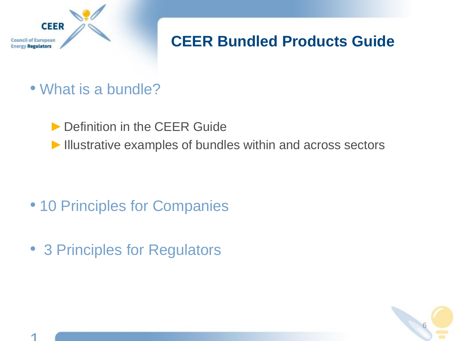

# **CEER Bundled Products Guide**

- What is a bundle?
	- ▶ Definition in the CEER Guide
	- ▶ Illustrative examples of bundles within and across sectors

- 10 Principles for Companies
- 3 Principles for Regulators

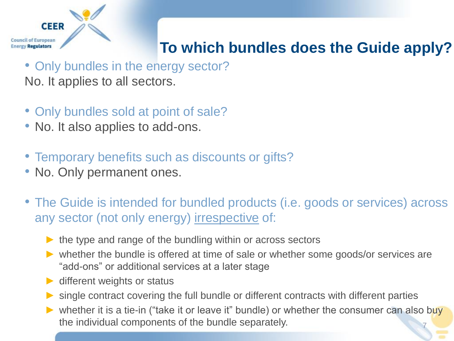

# **To which bundles does the Guide apply?**

- Only bundles in the energy sector? No. It applies to all sectors.
- Only bundles sold at point of sale?
- No. It also applies to add-ons.
- Temporary benefits such as discounts or gifts?
- No. Only permanent ones.
- The Guide is intended for bundled products (i.e. goods or services) across any sector (not only energy) irrespective of:
	- $\triangleright$  the type and range of the bundling within or across sectors
	- ► whether the bundle is offered at time of sale or whether some goods/or services are "add-ons" or additional services at a later stage
	- $\blacktriangleright$  different weights or status
	- $\triangleright$  single contract covering the full bundle or different contracts with different parties
	- ► whether it is a tie-in ("take it or leave it" bundle) or whether the consumer can also buy the individual components of the bundle separately.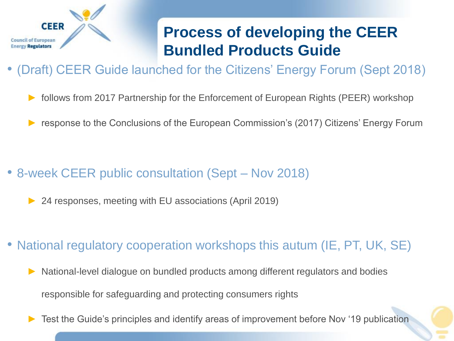

# **Process of developing the CEER Bundled Products Guide**

- (Draft) CEER Guide launched for the Citizens' Energy Forum (Sept 2018)
	- follows from 2017 Partnership for the Enforcement of European Rights (PEER) workshop
	- response to the Conclusions of the European Commission's (2017) Citizens' Energy Forum

- 8-week CEER public consultation (Sept Nov 2018)
	- 24 responses, meeting with EU associations (April 2019)
- National regulatory cooperation workshops this autum (IE, PT, UK, SE)
	- National-level dialogue on bundled products among different regulators and bodies responsible for safeguarding and protecting consumers rights
	- Test the Guide's principles and identify areas of improvement before Nov '19 publication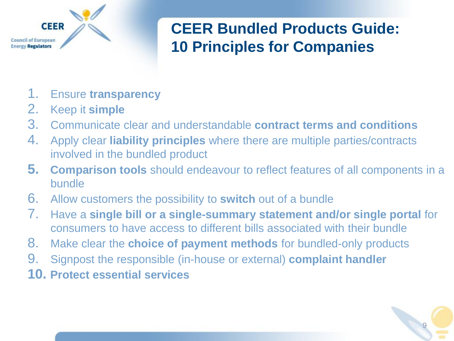

# **CEER Bundled Products Guide: 10 Principles for Companies**

9

- 1. Ensure **transparency**
- 2. Keep it **simple**
- 3. Communicate clear and understandable **contract terms and conditions**
- 4. Apply clear **liability principles** where there are multiple parties/contracts involved in the bundled product
- **5. Comparison tools** should endeavour to reflect features of all components in a bundle
- 6. Allow customers the possibility to **switch** out of a bundle
- 7. Have a **single bill or a single-summary statement and/or single portal** for consumers to have access to different bills associated with their bundle
- 8. Make clear the **choice of payment methods** for bundled-only products
- 9. Signpost the responsible (in-house or external) **complaint handler**
- **10. Protect essential services**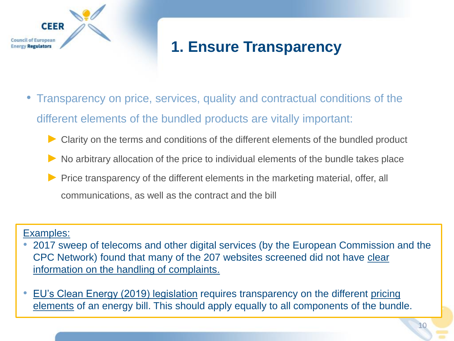

## **1. Ensure Transparency**

- Transparency on price, services, quality and contractual conditions of the different elements of the bundled products are vitally important:
	- ► Clarity on the terms and conditions of the different elements of the bundled product
	- $\blacktriangleright$  No arbitrary allocation of the price to individual elements of the bundle takes place
	- ► Price transparency of the different elements in the marketing material, offer, all communications, as well as the contract and the bill

#### Examples:

- 2017 sweep of telecoms and other digital services (by the European Commission and the [CPC Network\) found that many of the 207 websites screened did not have clear](https://ec.europa.eu/info/files/2017-telecommunication-and-other-digital-services-sweep_en)  information on the handling of complaints.
- [EU's Clean Energy \(2019\) legislation](https://eur-lex.europa.eu/legal-content/EN/TXT/?uri=uriserv:OJ.L_.2019.158.01.0125.01.ENG&toc=OJ:L:2019:158:TOC) requires transparency on the different pricing elements of an energy bill. This should apply equally to all components of the bundle.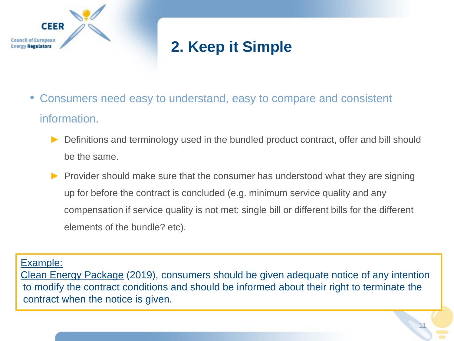

# **2. Keep it Simple**

- Consumers need easy to understand, easy to compare and consistent information.
	- Definitions and terminology used in the bundled product contract, offer and bill should be the same.
	- ► Provider should make sure that the consumer has understood what they are signing up for before the contract is concluded (e.g. minimum service quality and any compensation if service quality is not met; single bill or different bills for the different elements of the bundle? etc).

Example:

[Clean Energy Package](https://eur-lex.europa.eu/legal-content/EN/TXT/?uri=uriserv:OJ.L_.2019.158.01.0125.01.ENG&toc=OJ:L:2019:158:TOC) (2019), consumers should be given adequate notice of any intention to modify the contract conditions and should be informed about their right to terminate the contract when the notice is given.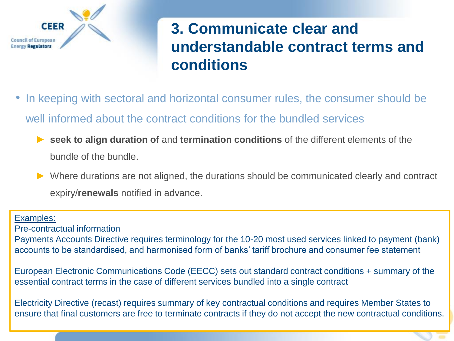

# **3. Communicate clear and understandable contract terms and conditions**

- In keeping with sectoral and horizontal consumer rules, the consumer should be well informed about the contract conditions for the bundled services
	- ► **seek to align duration of** and **termination conditions** of the different elements of the bundle of the bundle.
	- ► Where durations are not aligned, the durations should be communicated clearly and contract expiry/**renewals** notified in advance.

#### Examples:

Pre-contractual information

Payments Accounts Directive requires terminology for the 10-20 most used services linked to payment (bank) accounts to be standardised, and harmonised form of banks' tariff brochure and consumer fee statement

European Electronic Communications Code (EECC) sets out standard contract conditions + summary of the essential contract terms in the case of different services bundled into a single contract

Electricity Directive (recast) requires summary of key contractual conditions and requires Member States to ensure that final customers are free to terminate contracts if they do not accept the new contractual conditions.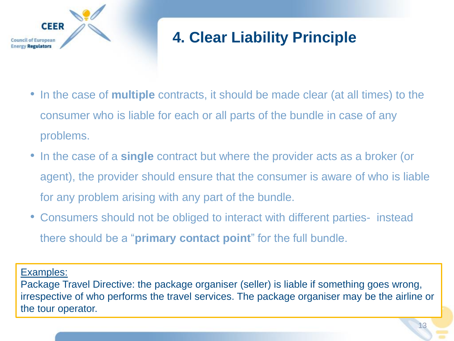

# **4. Clear Liability Principle**

- In the case of **multiple** contracts, it should be made clear (at all times) to the consumer who is liable for each or all parts of the bundle in case of any problems.
- In the case of a **single** contract but where the provider acts as a broker (or agent), the provider should ensure that the consumer is aware of who is liable for any problem arising with any part of the bundle.
- Consumers should not be obliged to interact with different parties- instead there should be a "**primary contact point**" for the full bundle.

Examples:

Package Travel Directive: the package organiser (seller) is liable if something goes wrong, irrespective of who performs the travel services. The package organiser may be the airline or the tour operator.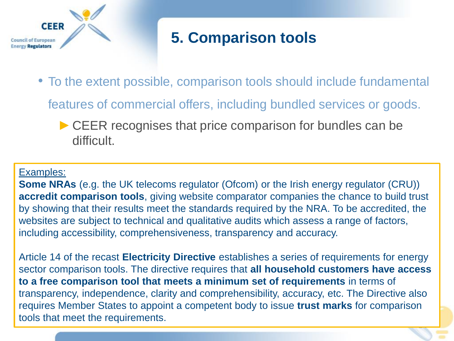

# **5. Comparison tools**

• To the extent possible, comparison tools should include fundamental

features of commercial offers, including bundled services or goods.

► CEER recognises that price comparison for bundles can be difficult.

#### Examples:

**Some NRAs** (e.g. the UK telecoms regulator (Ofcom) or the Irish energy regulator (CRU)) **accredit comparison tools**, giving website comparator companies the chance to build trust by showing that their results meet the standards required by the NRA. To be accredited, the websites are subject to technical and qualitative audits which assess a range of factors, including accessibility, comprehensiveness, transparency and accuracy.

14 Article 14 of the recast **Electricity Directive** establishes a series of requirements for energy sector comparison tools. The directive requires that **all household customers have access to a free comparison tool that meets a minimum set of requirements** in terms of transparency, independence, clarity and comprehensibility, accuracy, etc. The Directive also requires Member States to appoint a competent body to issue **trust marks** for comparison tools that meet the requirements.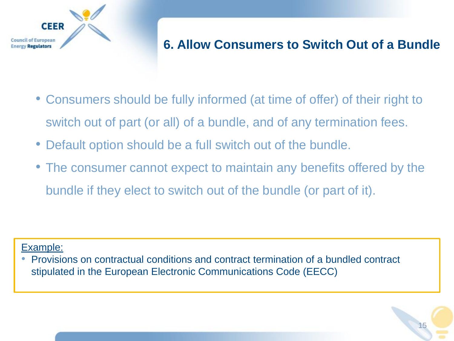

### **6. Allow Consumers to Switch Out of a Bundle**

- Consumers should be fully informed (at time of offer) of their right to switch out of part (or all) of a bundle, and of any termination fees.
- Default option should be a full switch out of the bundle.
- The consumer cannot expect to maintain any benefits offered by the bundle if they elect to switch out of the bundle (or part of it).

#### Example:

• Provisions on contractual conditions and contract termination of a bundled contract stipulated in the European Electronic Communications Code (EECC)

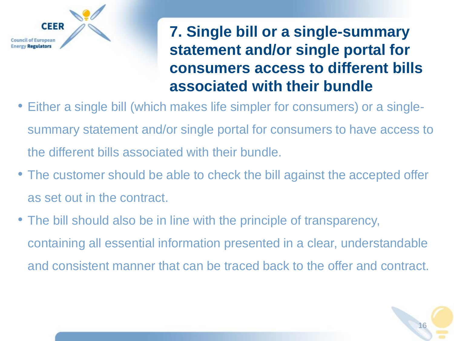

# **7. Single bill or a single-summary statement and/or single portal for consumers access to different bills associated with their bundle**

- Either a single bill (which makes life simpler for consumers) or a singlesummary statement and/or single portal for consumers to have access to the different bills associated with their bundle.
- The customer should be able to check the bill against the accepted offer as set out in the contract.
- The bill should also be in line with the principle of transparency, containing all essential information presented in a clear, understandable and consistent manner that can be traced back to the offer and contract.

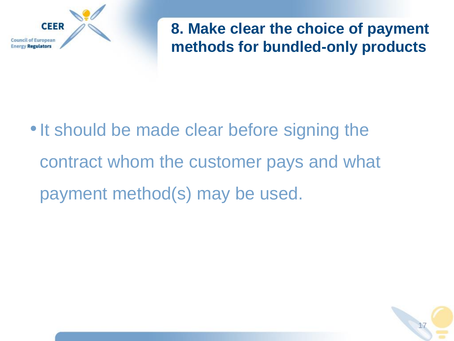

**8. Make clear the choice of payment methods for bundled-only products**

• It should be made clear before signing the contract whom the customer pays and what payment method(s) may be used.

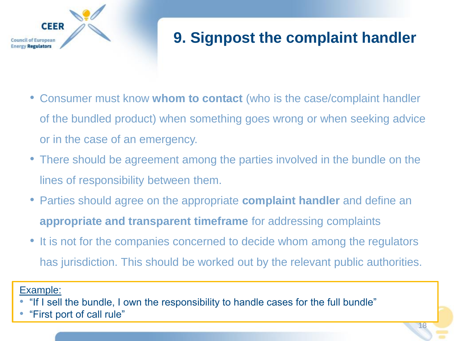

# **9. Signpost the complaint handler**

- Consumer must know **whom to contact** (who is the case/complaint handler of the bundled product) when something goes wrong or when seeking advice or in the case of an emergency.
- There should be agreement among the parties involved in the bundle on the lines of responsibility between them.
- Parties should agree on the appropriate **complaint handler** and define an **appropriate and transparent timeframe** for addressing complaints
- It is not for the companies concerned to decide whom among the regulators has jurisdiction. This should be worked out by the relevant public authorities.

Example:

- "If I sell the bundle, I own the responsibility to handle cases for the full bundle"
- "First port of call rule"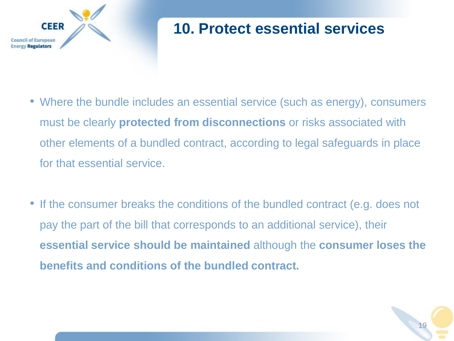

## **10. Protect essential services**

- Where the bundle includes an essential service (such as energy), consumers must be clearly **protected from disconnections** or risks associated with other elements of a bundled contract, according to legal safeguards in place for that essential service.
- If the consumer breaks the conditions of the bundled contract (e.g. does not pay the part of the bill that corresponds to an additional service), their **essential service should be maintained** although the **consumer loses the benefits and conditions of the bundled contract.**

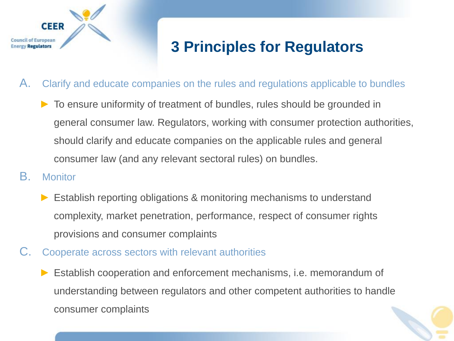

# **3 Principles for Regulators**

- A. Clarify and educate companies on the rules and regulations applicable to bundles
	- ► To ensure uniformity of treatment of bundles, rules should be grounded in general consumer law. Regulators, working with consumer protection authorities, should clarify and educate companies on the applicable rules and general consumer law (and any relevant sectoral rules) on bundles.
- B. Monitor
	- ► Establish reporting obligations & monitoring mechanisms to understand complexity, market penetration, performance, respect of consumer rights provisions and consumer complaints
- C. Cooperate across sectors with relevant authorities
	- Establish cooperation and enforcement mechanisms, i.e. memorandum of understanding between regulators and other competent authorities to handle consumer complaints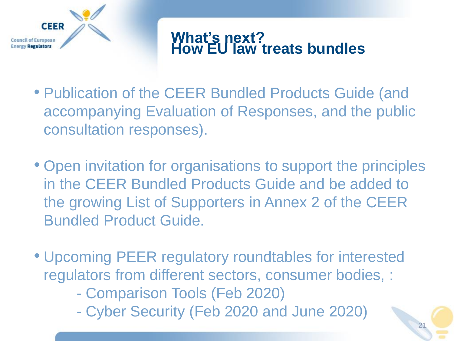

### **What's next? How EU law treats bundles**

- Publication of the CEER Bundled Products Guide (and accompanying Evaluation of Responses, and the public consultation responses).
- Open invitation for organisations to support the principles in the CEER Bundled Products Guide and be added to the growing List of Supporters in Annex 2 of the CEER Bundled Product Guide.
- Upcoming PEER regulatory roundtables for interested regulators from different sectors, consumer bodies, :
	- Comparison Tools (Feb 2020)
	- Cyber Security (Feb 2020 and June 2020)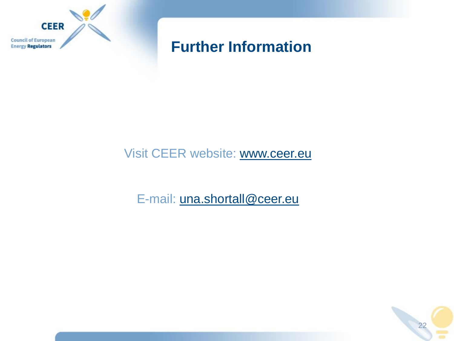

### **Further Information**

### Visit CEER website: [www.ceer.eu](http://www.ceer.eu/)

E-mail: [una.shortall@ceer.eu](mailto:una.shortall@ceer.eu)

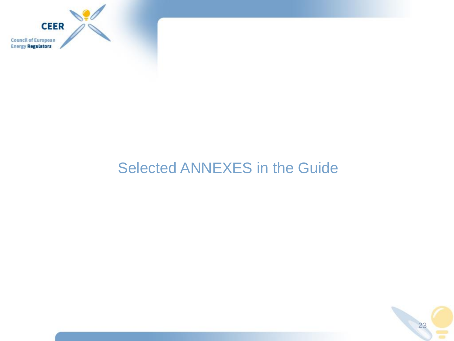

# Selected ANNEXES in the Guide

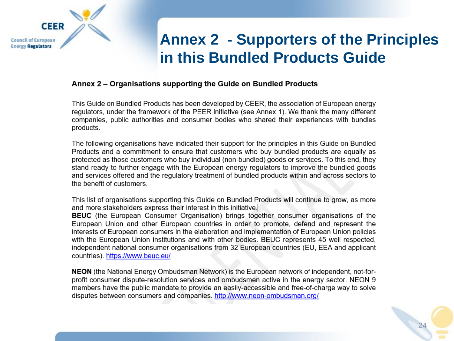

## **Annex 2 - Supporters of the Principles in this Bundled Products Guide**

#### Annex 2 – Organisations supporting the Guide on Bundled Products

This Guide on Bundled Products has been developed by CEER, the association of European energy regulators, under the framework of the PEER initiative (see Annex 1). We thank the many different companies, public authorities and consumer bodies who shared their experiences with bundles products.

The following organisations have indicated their support for the principles in this Guide on Bundled Products and a commitment to ensure that customers who buy bundled products are equally as protected as those customers who buy individual (non-bundled) goods or services. To this end, they stand ready to further engage with the European energy regulators to improve the bundled goods and services offered and the regulatory treatment of bundled products within and across sectors to the benefit of customers.

This list of organisations supporting this Guide on Bundled Products will continue to grow, as more and more stakeholders express their interest in this initiative.

**BEUC** (the European Consumer Organisation) brings together consumer organisations of the European Union and other European countries in order to promote, defend and represent the interests of European consumers in the elaboration and implementation of European Union policies with the European Union institutions and with other bodies. BEUC represents 45 well respected, independent national consumer organisations from 32 European countries (EU, EEA and applicant countries). https://www.beuc.eu/

NEON (the National Energy Ombudsman Network) is the European network of independent, not-forprofit consumer dispute-resolution services and ombudsmen active in the energy sector. NEON 9 members have the public mandate to provide an easily-accessible and free-of-charge way to solve disputes between consumers and companies. http://www.neon-ombudsman.org/

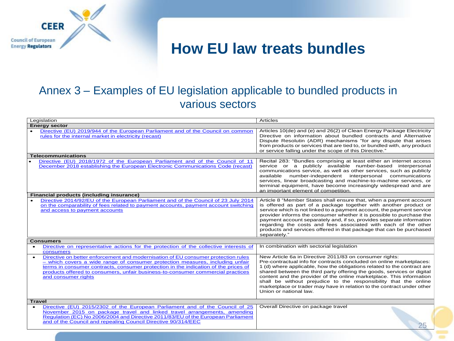

### **How EU law treats bundles**

#### Annex 3 – Examples of EU legislation applicable to bundled products in various sectors

| Legislation                                                                                                                                                                                                                                                                                                                                                         | <b>Articles</b>                                                                                                                                                                                                                                                                                                                                                                                                                                                                                                                      |  |  |  |  |  |
|---------------------------------------------------------------------------------------------------------------------------------------------------------------------------------------------------------------------------------------------------------------------------------------------------------------------------------------------------------------------|--------------------------------------------------------------------------------------------------------------------------------------------------------------------------------------------------------------------------------------------------------------------------------------------------------------------------------------------------------------------------------------------------------------------------------------------------------------------------------------------------------------------------------------|--|--|--|--|--|
| <b>Energy sector</b>                                                                                                                                                                                                                                                                                                                                                |                                                                                                                                                                                                                                                                                                                                                                                                                                                                                                                                      |  |  |  |  |  |
| Directive (EU) 2019/944 of the European Parliament and of the Council on common<br>rules for the internal market in electricity (recast)                                                                                                                                                                                                                            | Articles 10(de) and (e) and 26(2) of Clean Energy Package Electricity<br>Directive on information about bundled contracts and Alternative<br>Dispute Resolutin (ADR) mechanisms "for any dispute that arises<br>from products or services that are tied to, or bundled with, any product<br>or service falling under the scope of this Directive."                                                                                                                                                                                   |  |  |  |  |  |
| <b>Telecommunications</b>                                                                                                                                                                                                                                                                                                                                           |                                                                                                                                                                                                                                                                                                                                                                                                                                                                                                                                      |  |  |  |  |  |
| Directive (EU) 2018/1972 of the European Parliament and of the Council of 11<br>December 2018 establishing the European Electronic Communications Code (recast)                                                                                                                                                                                                     | Recital 283: "Bundles comprising at least either an internet access<br>service or a publicly available number-based interpersonal<br>communications service, as well as other services, such as publicly<br>available number-independent interpersonal communications<br>services, linear broadcasting and machine-to-machine services, or<br>terminal equipment, have become increasingly widespread and are<br>an important element of competition.                                                                                |  |  |  |  |  |
| Financial products (including insurance)                                                                                                                                                                                                                                                                                                                            |                                                                                                                                                                                                                                                                                                                                                                                                                                                                                                                                      |  |  |  |  |  |
| Directive 2014/92/EU of the European Parliament and of the Council of 23 July 2014<br>on the comparability of fees related to payment accounts, payment account switching<br>and access to payment accounts                                                                                                                                                         | Article 8 "Member States shall ensure that, when a payment account<br>is offered as part of a package together with another product or<br>service which is not linked to a payment account, the payment service<br>provider informs the consumer whether it is possible to purchase the<br>payment account separately and, if so, provides separate information<br>regarding the costs and fees associated with each of the other<br>products and services offered in that package that can be purchased<br>separately."             |  |  |  |  |  |
| <b>Consumers</b>                                                                                                                                                                                                                                                                                                                                                    |                                                                                                                                                                                                                                                                                                                                                                                                                                                                                                                                      |  |  |  |  |  |
| Directive on representative actions for the protection of the collective interests of<br>consumers                                                                                                                                                                                                                                                                  | In combination with sectorial legislation                                                                                                                                                                                                                                                                                                                                                                                                                                                                                            |  |  |  |  |  |
| Directive on better enforcement and modernisation of EU consumer protection rules<br>- which covers a wide range of consumer protection measures, including unfair<br>terms in consumer contracts, consumer protection in the indication of the prices of<br>products offered to consumers, unfair business-to-consumer commercial practices<br>and consumer rights | New Article 6a in Directive 2011/83 on consumer rights:<br>Pre-contractual info for contracts concluded on online marketplaces:<br>1 (d) where applicable, how the obligations related to the contract are<br>shared between the third party offering the goods, services or digital<br>content and the provider of the online marketplace. This information<br>shall be without prejudice to the responsibility that the online<br>marketplace or trader may have in relation to the contract under other<br>Union or national law. |  |  |  |  |  |
| <b>Travel</b>                                                                                                                                                                                                                                                                                                                                                       |                                                                                                                                                                                                                                                                                                                                                                                                                                                                                                                                      |  |  |  |  |  |
| Directive (EU) 2015/2302 of the European Parliament and of the Council of 25<br>November 2015 on package travel and linked travel arrangements, amending<br>Regulation (EC) No 2006/2004 and Directive 2011/83/EU of the European Parliament<br>and of the Council and repealing Council Directive 90/314/EEC                                                       | Overall Directive on package travel                                                                                                                                                                                                                                                                                                                                                                                                                                                                                                  |  |  |  |  |  |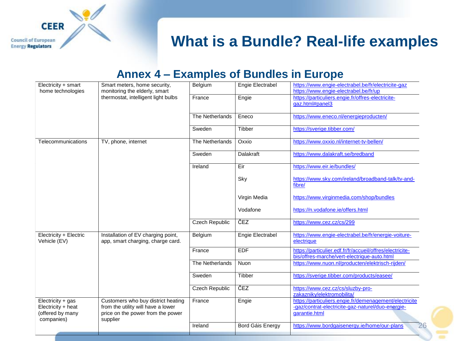

### **What is a Bundle? Real-life examples**

#### **Annex 4 – Examples of Bundles in Europe**

| Electricity + smart                                                       | Smart meters, home security,<br>monitoring the elderly, smart<br>thermostat, intelligent light bulbs                      | Belgium               | Engie Electrabel | https://www.engie-electrabel.be/fr/electricite-gaz<br>https://www.engie-electrabel.be/fr/up                                  |
|---------------------------------------------------------------------------|---------------------------------------------------------------------------------------------------------------------------|-----------------------|------------------|------------------------------------------------------------------------------------------------------------------------------|
| home technologies                                                         |                                                                                                                           | France                | Engie            | https://particuliers.engie.fr/offres-electricite-<br>gaz.html#panel3                                                         |
|                                                                           |                                                                                                                           | The Netherlands       | Eneco            | https://www.eneco.nl/energieproducten/                                                                                       |
|                                                                           |                                                                                                                           | Sweden                | Tibber           | https://sverige.tibber.com/                                                                                                  |
| Telecommunications                                                        | TV, phone, internet                                                                                                       | The Netherlands       | Oxxio            | https://www.oxxio.nl/internet-tv-bellen/                                                                                     |
|                                                                           |                                                                                                                           | Sweden                | Dalakraft        | https://www.dalakraft.se/bredband                                                                                            |
|                                                                           |                                                                                                                           | Ireland               | Eir              | https://www.eir.ie/bundles/                                                                                                  |
|                                                                           |                                                                                                                           |                       | Sky              | https://www.sky.com/ireland/broadband-talk/tv-and-<br>fibre/                                                                 |
|                                                                           |                                                                                                                           |                       | Virgin Media     | https://www.virginmedia.com/shop/bundles                                                                                     |
|                                                                           |                                                                                                                           |                       | Vodafone         | https://n.vodafone.ie/offers.html                                                                                            |
|                                                                           |                                                                                                                           | <b>Czech Republic</b> | ČEZ              | https://www.cez.cz/cs/299                                                                                                    |
| Electricity + Electric<br>Vehicle (EV)                                    | Installation of EV charging point,<br>app, smart charging, charge card.                                                   | Belgium               | Engie Electrabel | https://www.engie-electrabel.be/fr/energie-voiture-<br>electrique                                                            |
|                                                                           |                                                                                                                           | France                | <b>EDF</b>       | https://particulier.edf.fr/fr/accueil/offres/electricite-<br>bis/offres-marche/vert-electrique-auto.html                     |
|                                                                           |                                                                                                                           | The Netherlands       | Nuon             | https://www.nuon.nl/producten/elektrisch-rijden/                                                                             |
|                                                                           |                                                                                                                           | Sweden                | Tibber           | https://sverige.tibber.com/products/easee/                                                                                   |
|                                                                           |                                                                                                                           | Czech Republic        | ČEZ              | https://www.cez.cz/cs/sluzby-pro-<br>zakazniky/elektromobilita/                                                              |
| Electricity + gas<br>Electricity + heat<br>(offered by many<br>companies) | Customers who buy district heating<br>from the utility will have a lower<br>price on the power from the power<br>supplier | France                | Engie            | https://particuliers.engie.fr/demenagement/electricite<br>-gaz/contrat-electricite-gaz-naturel/duo-energie-<br>garantie.html |
|                                                                           |                                                                                                                           | Ireland               | Bord Gáis Energy | 26<br>https://www.bordgaisenergy.ie/home/our-plans                                                                           |
|                                                                           |                                                                                                                           |                       |                  |                                                                                                                              |